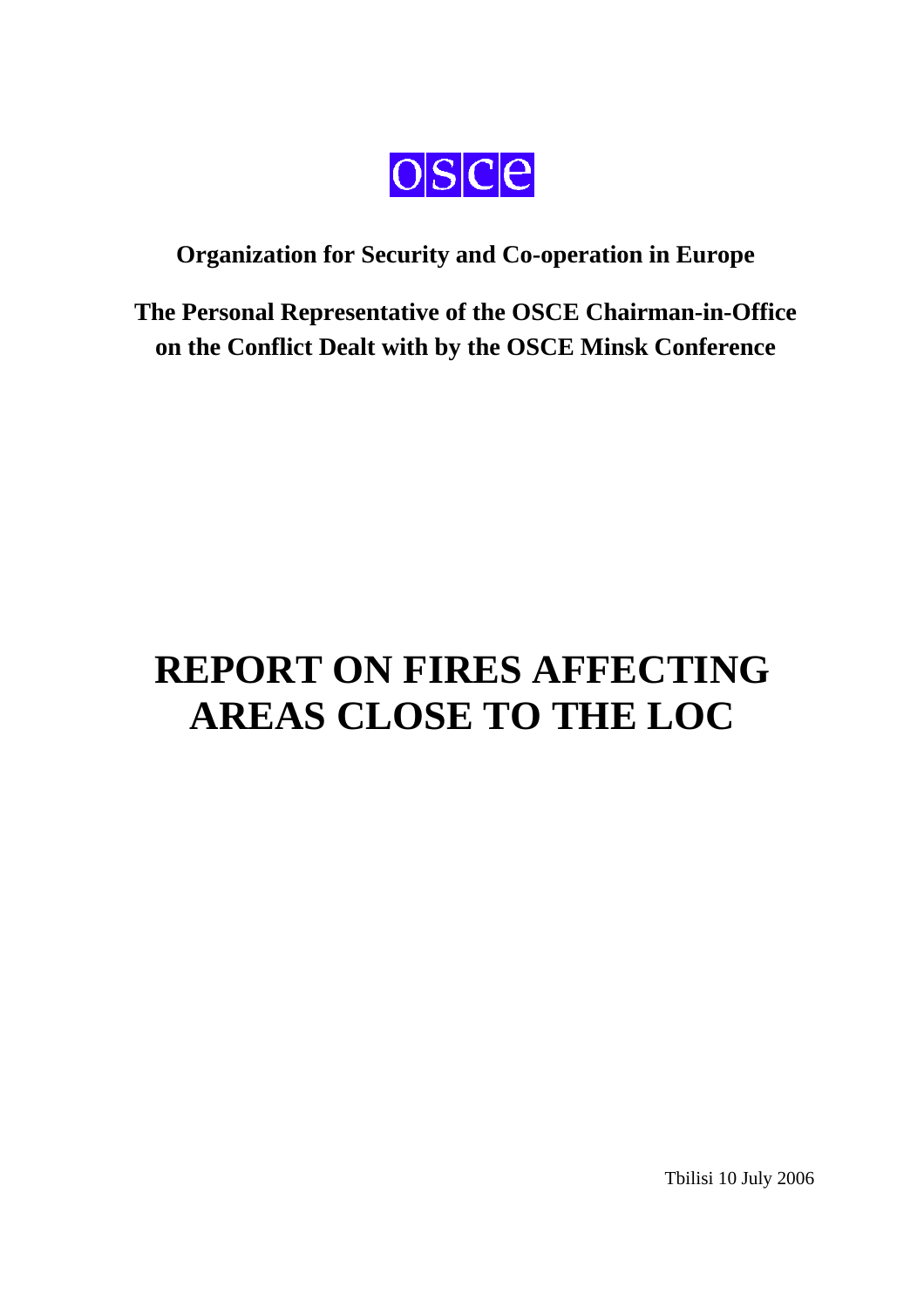

# **Organization for Security and Co-operation in Europe**

**The Personal Representative of the OSCE Chairman-in-Office on the Conflict Dealt with by the OSCE Minsk Conference** 

# **REPORT ON FIRES AFFECTING AREAS CLOSE TO THE LOC**

Tbilisi 10 July 2006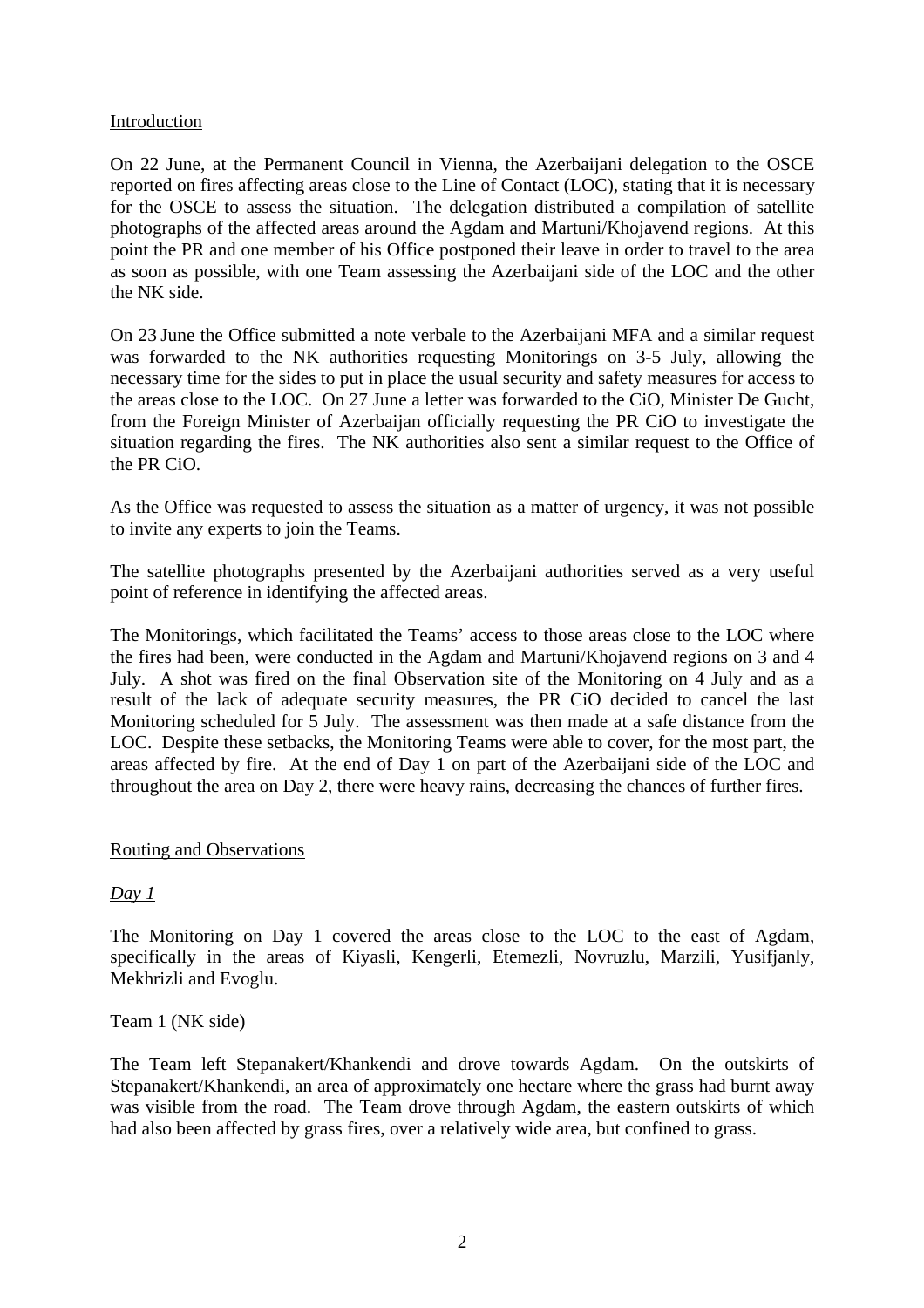#### Introduction

On 22 June, at the Permanent Council in Vienna, the Azerbaijani delegation to the OSCE reported on fires affecting areas close to the Line of Contact (LOC), stating that it is necessary for the OSCE to assess the situation. The delegation distributed a compilation of satellite photographs of the affected areas around the Agdam and Martuni/Khojavend regions. At this point the PR and one member of his Office postponed their leave in order to travel to the area as soon as possible, with one Team assessing the Azerbaijani side of the LOC and the other the NK side.

On 23 June the Office submitted a note verbale to the Azerbaijani MFA and a similar request was forwarded to the NK authorities requesting Monitorings on 3-5 July, allowing the necessary time for the sides to put in place the usual security and safety measures for access to the areas close to the LOC. On 27 June a letter was forwarded to the CiO, Minister De Gucht, from the Foreign Minister of Azerbaijan officially requesting the PR CiO to investigate the situation regarding the fires. The NK authorities also sent a similar request to the Office of the PR CiO.

As the Office was requested to assess the situation as a matter of urgency, it was not possible to invite any experts to join the Teams.

The satellite photographs presented by the Azerbaijani authorities served as a very useful point of reference in identifying the affected areas.

The Monitorings, which facilitated the Teams' access to those areas close to the LOC where the fires had been, were conducted in the Agdam and Martuni/Khojavend regions on 3 and 4 July. A shot was fired on the final Observation site of the Monitoring on 4 July and as a result of the lack of adequate security measures, the PR CiO decided to cancel the last Monitoring scheduled for 5 July. The assessment was then made at a safe distance from the LOC. Despite these setbacks, the Monitoring Teams were able to cover, for the most part, the areas affected by fire. At the end of Day 1 on part of the Azerbaijani side of the LOC and throughout the area on Day 2, there were heavy rains, decreasing the chances of further fires.

# Routing and Observations

# *Day 1*

The Monitoring on Day 1 covered the areas close to the LOC to the east of Agdam, specifically in the areas of Kiyasli, Kengerli, Etemezli, Novruzlu, Marzili, Yusifjanly, Mekhrizli and Evoglu.

Team 1 (NK side)

The Team left Stepanakert/Khankendi and drove towards Agdam. On the outskirts of Stepanakert/Khankendi, an area of approximately one hectare where the grass had burnt away was visible from the road. The Team drove through Agdam, the eastern outskirts of which had also been affected by grass fires, over a relatively wide area, but confined to grass.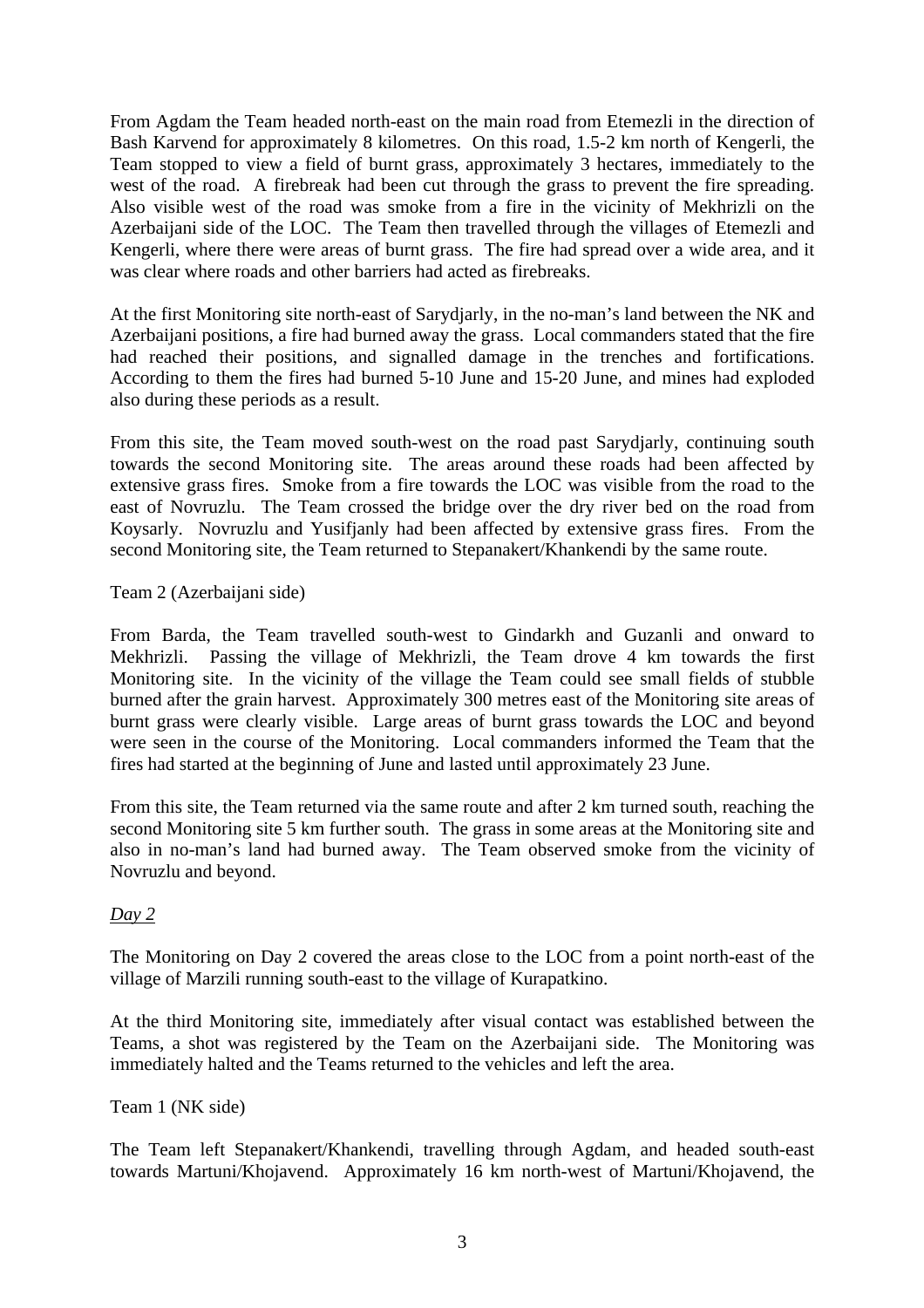From Agdam the Team headed north-east on the main road from Etemezli in the direction of Bash Karvend for approximately 8 kilometres. On this road, 1.5-2 km north of Kengerli, the Team stopped to view a field of burnt grass, approximately 3 hectares, immediately to the west of the road. A firebreak had been cut through the grass to prevent the fire spreading. Also visible west of the road was smoke from a fire in the vicinity of Mekhrizli on the Azerbaijani side of the LOC. The Team then travelled through the villages of Etemezli and Kengerli, where there were areas of burnt grass. The fire had spread over a wide area, and it was clear where roads and other barriers had acted as firebreaks.

At the first Monitoring site north-east of Sarydjarly, in the no-man's land between the NK and Azerbaijani positions, a fire had burned away the grass. Local commanders stated that the fire had reached their positions, and signalled damage in the trenches and fortifications. According to them the fires had burned 5-10 June and 15-20 June, and mines had exploded also during these periods as a result.

From this site, the Team moved south-west on the road past Sarydjarly, continuing south towards the second Monitoring site. The areas around these roads had been affected by extensive grass fires. Smoke from a fire towards the LOC was visible from the road to the east of Novruzlu. The Team crossed the bridge over the dry river bed on the road from Koysarly. Novruzlu and Yusifjanly had been affected by extensive grass fires. From the second Monitoring site, the Team returned to Stepanakert/Khankendi by the same route.

Team 2 (Azerbaijani side)

From Barda, the Team travelled south-west to Gindarkh and Guzanli and onward to Mekhrizli. Passing the village of Mekhrizli, the Team drove 4 km towards the first Monitoring site. In the vicinity of the village the Team could see small fields of stubble burned after the grain harvest. Approximately 300 metres east of the Monitoring site areas of burnt grass were clearly visible. Large areas of burnt grass towards the LOC and beyond were seen in the course of the Monitoring. Local commanders informed the Team that the fires had started at the beginning of June and lasted until approximately 23 June.

From this site, the Team returned via the same route and after 2 km turned south, reaching the second Monitoring site 5 km further south. The grass in some areas at the Monitoring site and also in no-man's land had burned away. The Team observed smoke from the vicinity of Novruzlu and beyond.

# *Day 2*

The Monitoring on Day 2 covered the areas close to the LOC from a point north-east of the village of Marzili running south-east to the village of Kurapatkino.

At the third Monitoring site, immediately after visual contact was established between the Teams, a shot was registered by the Team on the Azerbaijani side. The Monitoring was immediately halted and the Teams returned to the vehicles and left the area.

# Team 1 (NK side)

The Team left Stepanakert/Khankendi, travelling through Agdam, and headed south-east towards Martuni/Khojavend. Approximately 16 km north-west of Martuni/Khojavend, the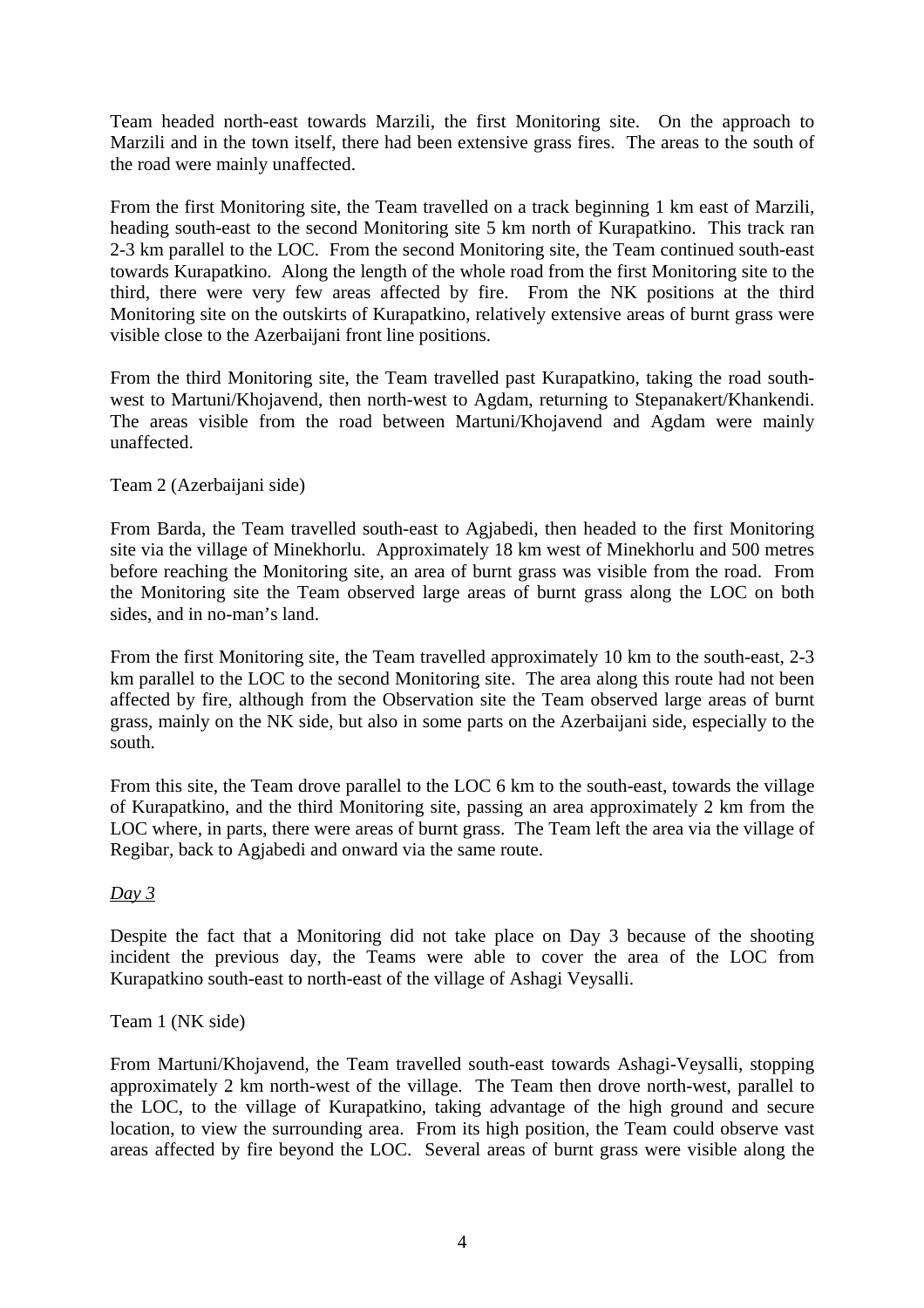Team headed north-east towards Marzili, the first Monitoring site. On the approach to Marzili and in the town itself, there had been extensive grass fires. The areas to the south of the road were mainly unaffected.

From the first Monitoring site, the Team travelled on a track beginning 1 km east of Marzili, heading south-east to the second Monitoring site 5 km north of Kurapatkino. This track ran 2-3 km parallel to the LOC. From the second Monitoring site, the Team continued south-east towards Kurapatkino. Along the length of the whole road from the first Monitoring site to the third, there were very few areas affected by fire. From the NK positions at the third Monitoring site on the outskirts of Kurapatkino, relatively extensive areas of burnt grass were visible close to the Azerbaijani front line positions.

From the third Monitoring site, the Team travelled past Kurapatkino, taking the road southwest to Martuni/Khojavend, then north-west to Agdam, returning to Stepanakert/Khankendi. The areas visible from the road between Martuni/Khojavend and Agdam were mainly unaffected.

# Team 2 (Azerbaijani side)

From Barda, the Team travelled south-east to Agjabedi, then headed to the first Monitoring site via the village of Minekhorlu. Approximately 18 km west of Minekhorlu and 500 metres before reaching the Monitoring site, an area of burnt grass was visible from the road. From the Monitoring site the Team observed large areas of burnt grass along the LOC on both sides, and in no-man's land.

From the first Monitoring site, the Team travelled approximately 10 km to the south-east, 2-3 km parallel to the LOC to the second Monitoring site. The area along this route had not been affected by fire, although from the Observation site the Team observed large areas of burnt grass, mainly on the NK side, but also in some parts on the Azerbaijani side, especially to the south.

From this site, the Team drove parallel to the LOC 6 km to the south-east, towards the village of Kurapatkino, and the third Monitoring site, passing an area approximately 2 km from the LOC where, in parts, there were areas of burnt grass. The Team left the area via the village of Regibar, back to Agjabedi and onward via the same route.

#### *Day 3*

Despite the fact that a Monitoring did not take place on Day 3 because of the shooting incident the previous day, the Teams were able to cover the area of the LOC from Kurapatkino south-east to north-east of the village of Ashagi Veysalli.

#### Team 1 (NK side)

From Martuni/Khojavend, the Team travelled south-east towards Ashagi-Veysalli, stopping approximately 2 km north-west of the village. The Team then drove north-west, parallel to the LOC, to the village of Kurapatkino, taking advantage of the high ground and secure location, to view the surrounding area. From its high position, the Team could observe vast areas affected by fire beyond the LOC. Several areas of burnt grass were visible along the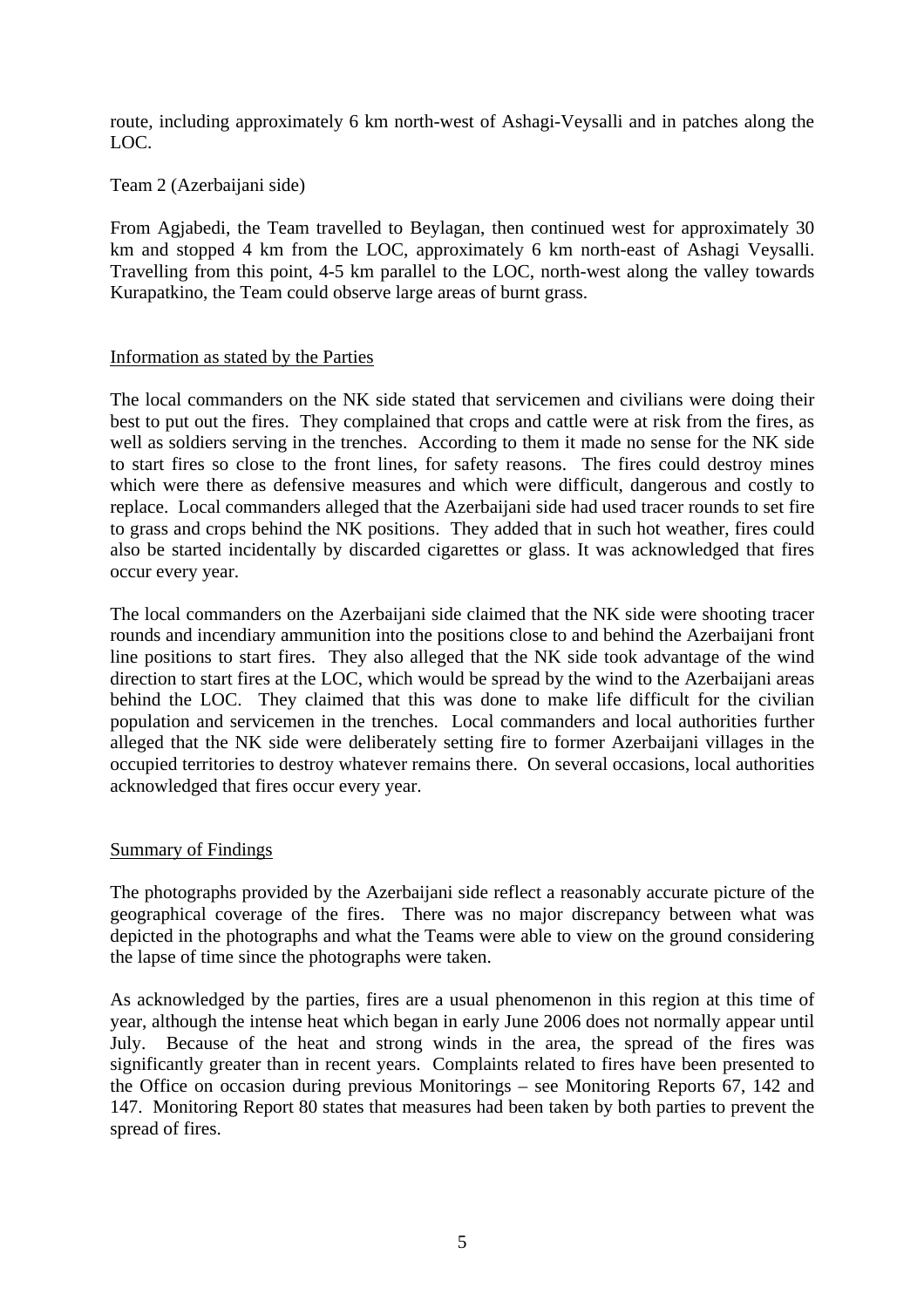route, including approximately 6 km north-west of Ashagi-Veysalli and in patches along the LOC.

#### Team 2 (Azerbaijani side)

From Agjabedi, the Team travelled to Beylagan, then continued west for approximately 30 km and stopped 4 km from the LOC, approximately 6 km north-east of Ashagi Veysalli. Travelling from this point, 4-5 km parallel to the LOC, north-west along the valley towards Kurapatkino, the Team could observe large areas of burnt grass.

#### Information as stated by the Parties

The local commanders on the NK side stated that servicemen and civilians were doing their best to put out the fires. They complained that crops and cattle were at risk from the fires, as well as soldiers serving in the trenches. According to them it made no sense for the NK side to start fires so close to the front lines, for safety reasons. The fires could destroy mines which were there as defensive measures and which were difficult, dangerous and costly to replace. Local commanders alleged that the Azerbaijani side had used tracer rounds to set fire to grass and crops behind the NK positions. They added that in such hot weather, fires could also be started incidentally by discarded cigarettes or glass. It was acknowledged that fires occur every year.

The local commanders on the Azerbaijani side claimed that the NK side were shooting tracer rounds and incendiary ammunition into the positions close to and behind the Azerbaijani front line positions to start fires. They also alleged that the NK side took advantage of the wind direction to start fires at the LOC, which would be spread by the wind to the Azerbaijani areas behind the LOC. They claimed that this was done to make life difficult for the civilian population and servicemen in the trenches. Local commanders and local authorities further alleged that the NK side were deliberately setting fire to former Azerbaijani villages in the occupied territories to destroy whatever remains there. On several occasions, local authorities acknowledged that fires occur every year.

#### Summary of Findings

The photographs provided by the Azerbaijani side reflect a reasonably accurate picture of the geographical coverage of the fires. There was no major discrepancy between what was depicted in the photographs and what the Teams were able to view on the ground considering the lapse of time since the photographs were taken.

As acknowledged by the parties, fires are a usual phenomenon in this region at this time of year, although the intense heat which began in early June 2006 does not normally appear until July. Because of the heat and strong winds in the area, the spread of the fires was significantly greater than in recent years. Complaints related to fires have been presented to the Office on occasion during previous Monitorings – see Monitoring Reports 67, 142 and 147. Monitoring Report 80 states that measures had been taken by both parties to prevent the spread of fires.